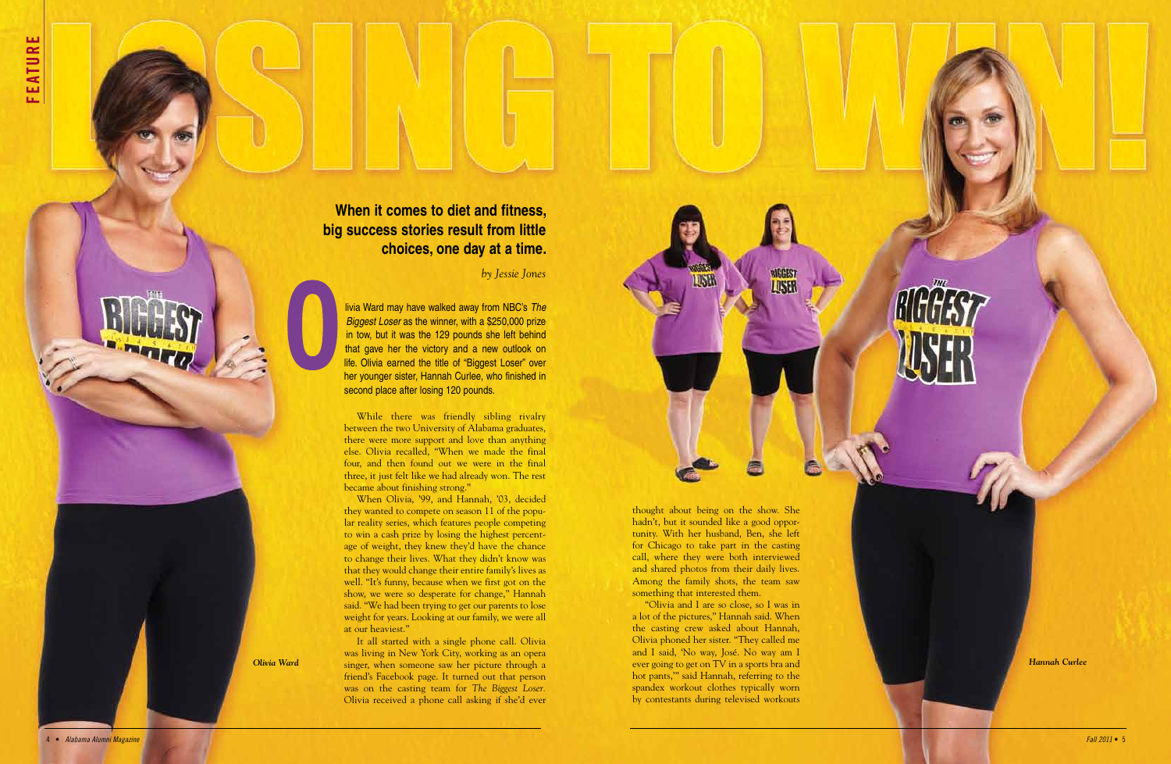livia Ward may have walked away from NBC's *The Biggest Loser* as the winner, with a \$250,000 prize in tow, but it was the 129 pounds she left behind that gave her the victory and a new outlook on life. Olivia earned the title of "Biggest Loser" over her younger sister, Hannah Curlee, who finished in second place after losing 120 pounds.

While there was friendly sibling rivalry between the two University of Alabama graduates, there were more support and love than anything else. Olivia recalled, "When we made the final four, and then found out we were in the final three, it just felt like we had already won. The rest became about finishing strong."

When Olivia, '99, and Hannah, '03, decided they wanted to compete on season 11 of the popu lar reality series, which features people competing to win a cash prize by losing the highest percentage of weight, they knew they'd have the chance to change their lives. What they didn't know was that they would change their entire family's lives as well. "It's funny, because when we first got on the show, we were so desperate for change," Hannah said. "We had been trying to get our parents to lose weight for years. Looking at our family, we were all at our heaviest."

It all started with a single phone call. Olivia was living in New York City, working as an opera singer, when someone saw her picture through a *Olivia Ward Hannah Curlee* friend's Facebook page. It turned out that person was on the casting team for *The Biggest Loser.* Olivia received a phone call asking if she'd ever

**When it comes to diet and fitness, big success stories result from little choices, one day at a time.** 

*by Jessie Jones*

thought about being on the show. She hadn't, but it sounded like a good oppor tunity. With her husband, Ben, she left for Chicago to take part in the casting call, where they were both interviewed and shared photos from their daily lives. Among the family shots, the team saw something that interested them.

LISE

"Olivia and I are so close, so I was in a lot of the pictures," Hannah said. When the casting crew asked about Hannah, Olivia phoned her sister. "They called me and I said, 'No way, José. No way am I ever going to get on TV in a sports bra and hot pants,'" said Hannah, referring to the spandex workout clothes typically worn by contestants during televised workouts

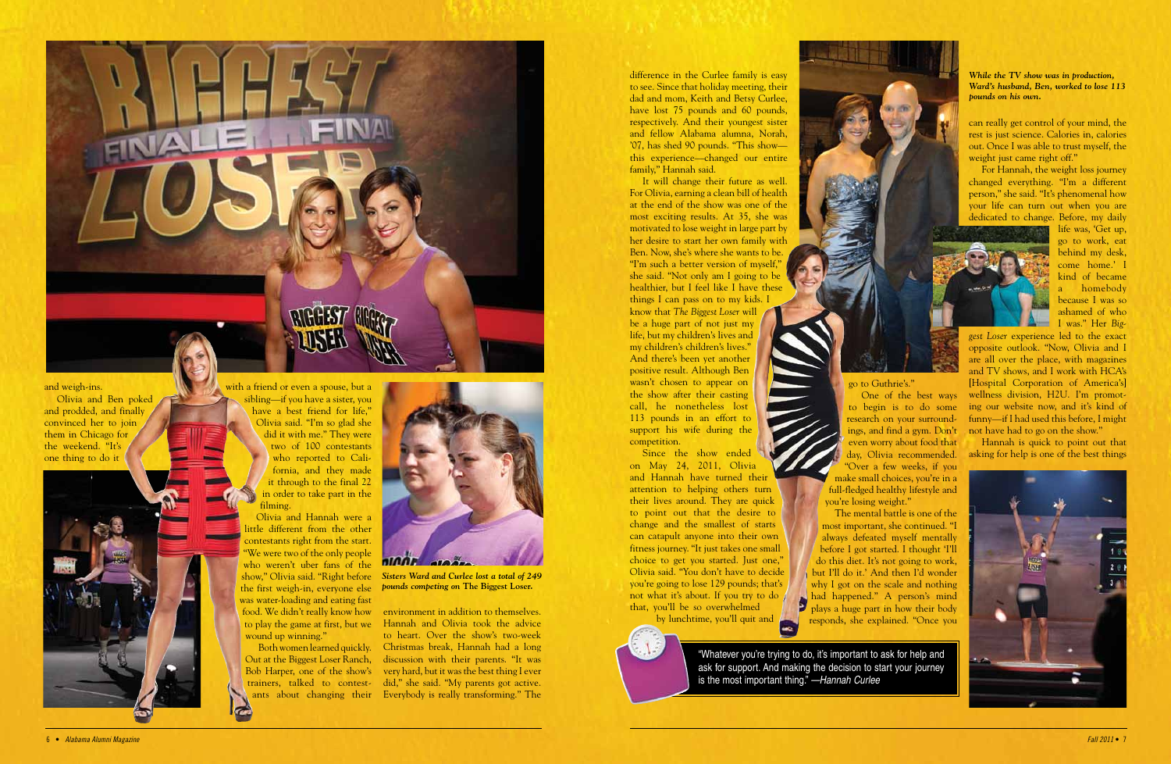

## and weigh-ins.

Olivia and Ben poked and prodded, and finally convinced her to join them in Chicago for the weekend. "It's one thing to do it

with a friend or even a spouse, but a sibling—if you have a sister, you have a best friend for life," Olivia said. "I'm so glad she did it with me." They were two of 100 contestants who reported to California, and they made it through to the final 22 in order to take part in the filming.

Olivia and Hannah were a little different from the other contestants right from the start. "We were two of the only people who weren't uber fans of the show," Olivia said. "Right before the first weigh-in, everyone else was water-loading and eating fast food. We didn't really know how wound up winning."

to play the game at first, but we Hannah and Olivia took the advice Both women learned quickly. Christmas break, Hannah had a long Out at the Biggest Loser Ranch, discussion with their parents. "It was Bob Harper, one of the show's very hard, but it was the best thing I ever trainers, talked to contest-did," she said. "My parents got active. ants about changing their Everybody is really transforming." The environment in addition to themselves. to heart. Over the show's two-week

Since the show ended on May 24, 2011, Olivia and Hannah have turned their attention to helping others turn their lives around. They are quick to point out that the desire to change and the smallest of starts can catapult anyone into their own fitness journey. "It just takes one small choice to get you started. Just one," Olivia said. "You don't have to decide you're going to lose 129 pounds; that's not what it's about. If you try to do that, you'll be so overwhelmed by lunchtime, you'll quit and

difference in the Curlee family is easy to see. Since that holiday meeting, their dad and mom, Keith and Betsy Curlee, have lost 75 pounds and 60 pounds, respectively. And their youngest sister and fellow Alabama alumna, Norah, '07, has shed 90 pounds. "This show this experience—changed our entire family," Hannah said.

can really get control of your mind, the rest is just science. Calories in, calories out. Once I was able to trust myself, the weight just came right off."

It will change their future as well. For Olivia, earning a clean bill of health at the end of the show was one of the most exciting results. At 35, she was motivated to lose weight in large part by her desire to start her own family with Ben. Now, she's where she wants to be. "I'm such a better version of myself," she said. "Not only am I going to be healthier, but I feel like I have these things I can pass on to my kids. I know that *The Biggest Loser* will be a huge part of not just my life, but my children's lives and my children's children's lives." And there's been yet another positive result. Although Ben wasn't chosen to appear on the show after their casting call, he nonetheless lost 113 pounds in an effort to support his wife during the competition.

go to Guthrie's."

One of the best ways to begin is to do some research on your surroundings, and find a gym. Don't even worry about food that day, Olivia recommended. "Over a few weeks, if you make small choices, you're in a full-fledged healthy lifestyle and

you're losing weight." The mental battle is one of the most important, she continued. "I always defeated myself mentally before I got started. I thought 'I'll do this diet. It's not going to work, but I'll do it.' And then I'd wonder why I got on the scale and nothing had happened." A person's mind plays a huge part in how their body responds, she explained. "Once you

For Hannah, the weight loss journey changed everything. "I'm a different person," she said. "It's phenomenal how your life can turn out when you are dedicated to change. Before, my daily



life was, 'Get up, go to work, eat behind my desk, come home.' I kind of became a homebody because I was so ashamed of who I was." Her *Big-*

*gest Loser* experience led to the exact opposite outlook. "Now, Olivia and I are all over the place, with magazines and TV shows, and I work with HCA's [Hospital Corporation of America's] wellness division, H2U. I'm promoting our website now, and it's kind of funny—if I had used this before, I might not have had to go on the show."

Hannah is quick to point out that asking for help is one of the best things



"Whatever you're trying to do, it's important to ask for help and ask for support. And making the decision to start your journey is the most important thing." *—Hannah Curlee*



*Sisters Ward and Curlee lost a total of 249 pounds competing on* **The Biggest Loser.**

*While the TV show was in production, Ward's husband, Ben, worked to lose 113 pounds on his own.*